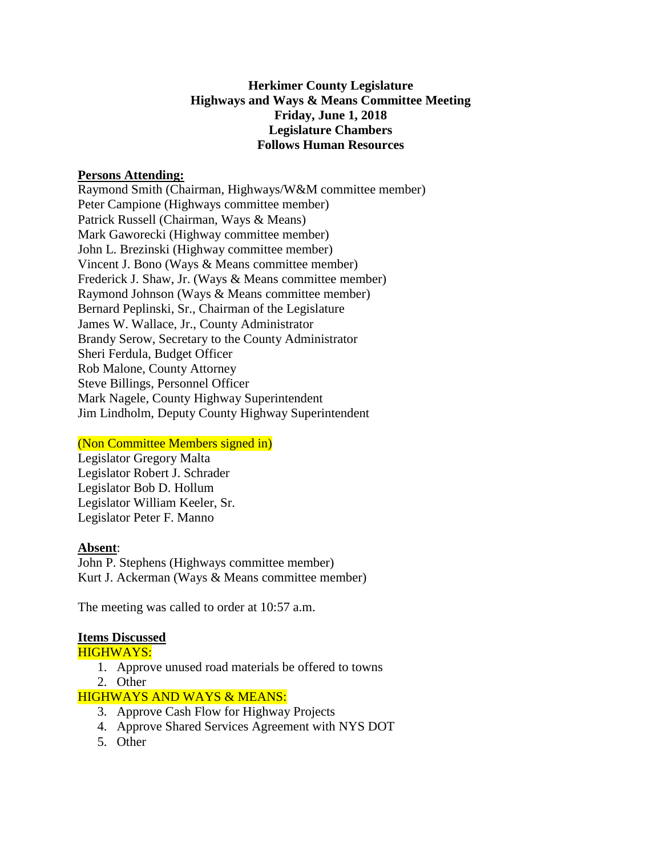# **Herkimer County Legislature Highways and Ways & Means Committee Meeting Friday, June 1, 2018 Legislature Chambers Follows Human Resources**

#### **Persons Attending:**

Raymond Smith (Chairman, Highways/W&M committee member) Peter Campione (Highways committee member) Patrick Russell (Chairman, Ways & Means) Mark Gaworecki (Highway committee member) John L. Brezinski (Highway committee member) Vincent J. Bono (Ways & Means committee member) Frederick J. Shaw, Jr. (Ways & Means committee member) Raymond Johnson (Ways & Means committee member) Bernard Peplinski, Sr., Chairman of the Legislature James W. Wallace, Jr., County Administrator Brandy Serow, Secretary to the County Administrator Sheri Ferdula, Budget Officer Rob Malone, County Attorney Steve Billings, Personnel Officer Mark Nagele, County Highway Superintendent Jim Lindholm, Deputy County Highway Superintendent

#### (Non Committee Members signed in)

Legislator Gregory Malta Legislator Robert J. Schrader Legislator Bob D. Hollum Legislator William Keeler, Sr. Legislator Peter F. Manno

#### **Absent**:

John P. Stephens (Highways committee member) Kurt J. Ackerman (Ways & Means committee member)

The meeting was called to order at 10:57 a.m.

# **Items Discussed**

# HIGHWAYS:

- 1. Approve unused road materials be offered to towns
- 2. Other

# HIGHWAYS AND WAYS & MEANS:

- 3. Approve Cash Flow for Highway Projects
- 4. Approve Shared Services Agreement with NYS DOT
- 5. Other